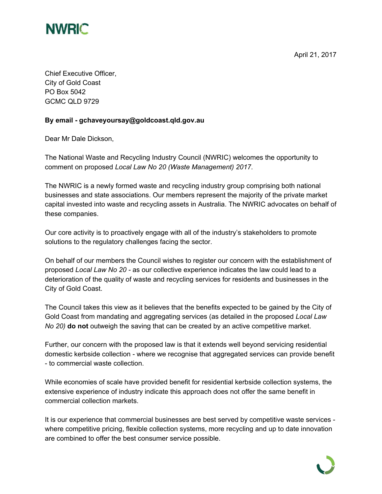

April 21, 2017

Chief Executive Officer, City of Gold Coast PO Box 5042 GCMC QLD 9729

## **By email - gchaveyoursay@goldcoast.qld.gov.au**

Dear Mr Dale Dickson,

The National Waste and Recycling Industry Council (NWRIC) welcomes the opportunity to comment on proposed *Local Law No 20 (Waste Management) 2017*.

The NWRIC is a newly formed waste and recycling industry group comprising both national businesses and state associations. Our members represent the majority of the private market capital invested into waste and recycling assets in Australia. The NWRIC advocates on behalf of these companies.

Our core activity is to proactively engage with all of the industry's stakeholders to promote solutions to the regulatory challenges facing the sector.

On behalf of our members the Council wishes to register our concern with the establishment of proposed *Local Law No 20 -* as our collective experience indicates the law could lead to a deterioration of the quality of waste and recycling services for residents and businesses in the City of Gold Coast.

The Council takes this view as it believes that the benefits expected to be gained by the City of Gold Coast from mandating and aggregating services (as detailed in the proposed *Local Law No 20)* **do not** outweigh the saving that can be created by an active competitive market.

Further, our concern with the proposed law is that it extends well beyond servicing residential domestic kerbside collection - where we recognise that aggregated services can provide benefit - to commercial waste collection.

While economies of scale have provided benefit for residential kerbside collection systems, the extensive experience of industry indicate this approach does not offer the same benefit in commercial collection markets.

It is our experience that commercial businesses are best served by competitive waste services where competitive pricing, flexible collection systems, more recycling and up to date innovation are combined to offer the best consumer service possible.